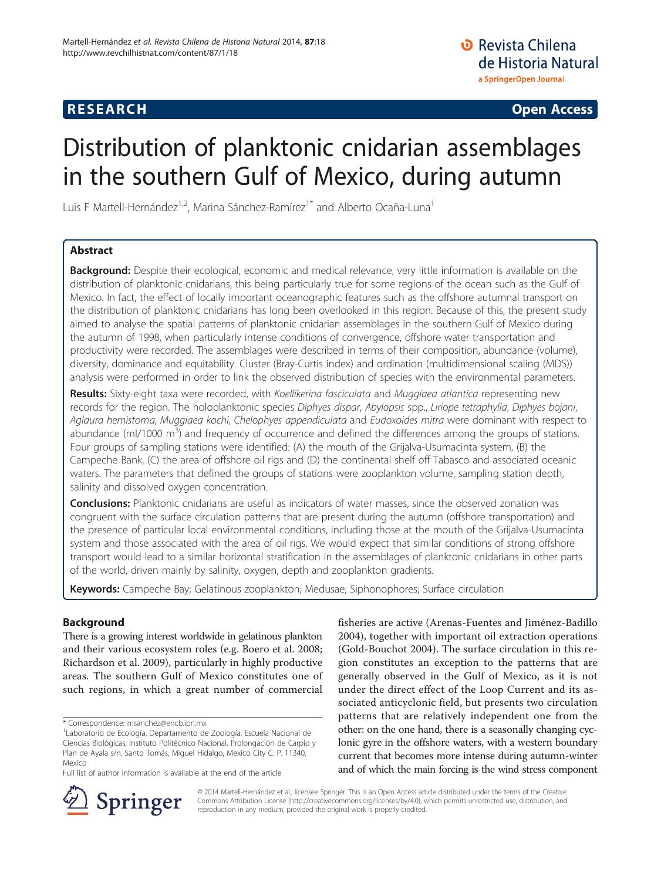# Distribution of planktonic cnidarian assemblages in the southern Gulf of Mexico, during autumn

Luis F Martell-Hernández<sup>1,2</sup>, Marina Sánchez-Ramírez<sup>1\*</sup> and Alberto Ocaña-Luna<sup>1</sup>

# Abstract

Background: Despite their ecological, economic and medical relevance, very little information is available on the distribution of planktonic cnidarians, this being particularly true for some regions of the ocean such as the Gulf of Mexico. In fact, the effect of locally important oceanographic features such as the offshore autumnal transport on the distribution of planktonic cnidarians has long been overlooked in this region. Because of this, the present study aimed to analyse the spatial patterns of planktonic cnidarian assemblages in the southern Gulf of Mexico during the autumn of 1998, when particularly intense conditions of convergence, offshore water transportation and productivity were recorded. The assemblages were described in terms of their composition, abundance (volume), diversity, dominance and equitability. Cluster (Bray-Curtis index) and ordination (multidimensional scaling (MDS)) analysis were performed in order to link the observed distribution of species with the environmental parameters.

Results: Sixty-eight taxa were recorded, with Koellikerina fasciculata and Muggiaea atlantica representing new records for the region. The holoplanktonic species Diphyes dispar, Abylopsis spp., Liriope tetraphylla, Diphyes bojani, Aglaura hemistoma, Muggiaea kochi, Chelophyes appendiculata and Eudoxoides mitra were dominant with respect to abundance (ml/1000 m<sup>3</sup>) and frequency of occurrence and defined the differences among the groups of stations. Four groups of sampling stations were identified: (A) the mouth of the Grijalva-Usumacinta system, (B) the Campeche Bank, (C) the area of offshore oil rigs and (D) the continental shelf off Tabasco and associated oceanic waters. The parameters that defined the groups of stations were zooplankton volume, sampling station depth, salinity and dissolved oxygen concentration.

Conclusions: Planktonic cnidarians are useful as indicators of water masses, since the observed zonation was congruent with the surface circulation patterns that are present during the autumn (offshore transportation) and the presence of particular local environmental conditions, including those at the mouth of the Grijalva-Usumacinta system and those associated with the area of oil rigs. We would expect that similar conditions of strong offshore transport would lead to a similar horizontal stratification in the assemblages of planktonic cnidarians in other parts of the world, driven mainly by salinity, oxygen, depth and zooplankton gradients.

Keywords: Campeche Bay; Gelatinous zooplankton; Medusae; Siphonophores; Surface circulation

# Background

There is a growing interest worldwide in gelatinous plankton and their various ecosystem roles (e.g. Boero et al. [2008](#page-9-0); Richardson et al. [2009\)](#page-10-0), particularly in highly productive areas. The southern Gulf of Mexico constitutes one of such regions, in which a great number of commercial

\* Correspondence: [msanchez@encb.ipn.mx](mailto:msanchez@encb.ipn.mx) <sup>1</sup>

fisheries are active (Arenas-Fuentes and Jiménez-Badillo [2004\)](#page-9-0), together with important oil extraction operations (Gold-Bouchot [2004\)](#page-9-0). The surface circulation in this region constitutes an exception to the patterns that are generally observed in the Gulf of Mexico, as it is not under the direct effect of the Loop Current and its associated anticyclonic field, but presents two circulation patterns that are relatively independent one from the other: on the one hand, there is a seasonally changing cyclonic gyre in the offshore waters, with a western boundary current that becomes more intense during autumn-winter and of which the main forcing is the wind stress component



© 2014 Martell-Hernández et al.; licensee Springer. This is an Open Access article distributed under the terms of the Creative Commons Attribution License (<http://creativecommons.org/licenses/by/4.0>), which permits unrestricted use, distribution, and reproduction in any medium, provided the original work is properly credited.

<sup>&</sup>lt;sup>1</sup> Laboratorio de Ecología, Departamento de Zoología, Escuela Nacional de Ciencias Biológicas, Instituto Politécnico Nacional, Prolongación de Carpio y Plan de Ayala s/n, Santo Tomás, Miguel Hidalgo, Mexico City C. P. 11340, Mexico

Full list of author information is available at the end of the article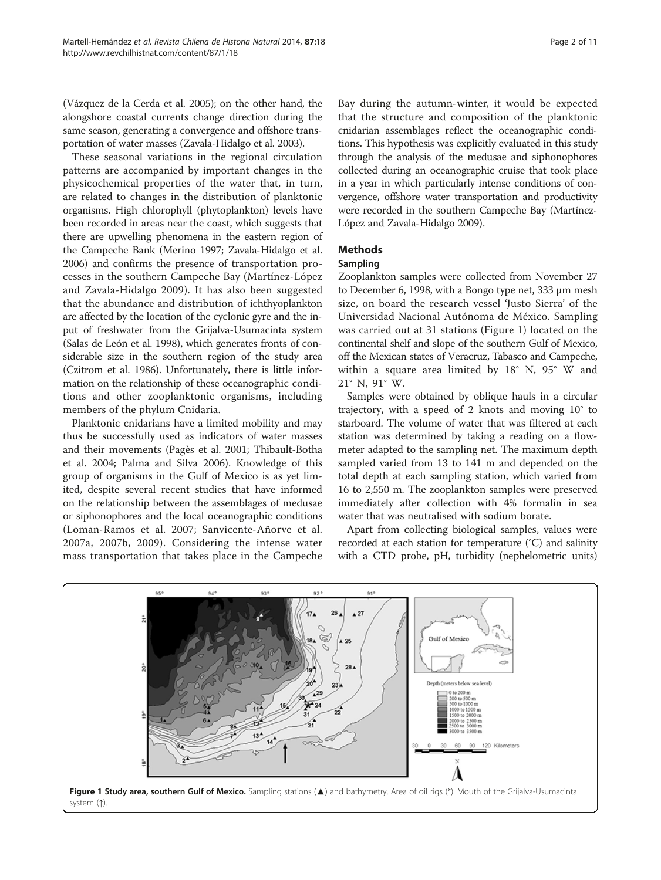(Vázquez de la Cerda et al. [2005\)](#page-10-0); on the other hand, the alongshore coastal currents change direction during the same season, generating a convergence and offshore transportation of water masses (Zavala-Hidalgo et al. [2003](#page-10-0)).

These seasonal variations in the regional circulation patterns are accompanied by important changes in the physicochemical properties of the water that, in turn, are related to changes in the distribution of planktonic organisms. High chlorophyll (phytoplankton) levels have been recorded in areas near the coast, which suggests that there are upwelling phenomena in the eastern region of the Campeche Bank (Merino [1997;](#page-10-0) Zavala-Hidalgo et al. [2006\)](#page-10-0) and confirms the presence of transportation processes in the southern Campeche Bay (Martínez-López and Zavala-Hidalgo [2009\)](#page-10-0). It has also been suggested that the abundance and distribution of ichthyoplankton are affected by the location of the cyclonic gyre and the input of freshwater from the Grijalva-Usumacinta system (Salas de León et al. [1998](#page-10-0)), which generates fronts of considerable size in the southern region of the study area (Czitrom et al. [1986](#page-9-0)). Unfortunately, there is little information on the relationship of these oceanographic conditions and other zooplanktonic organisms, including members of the phylum Cnidaria.

Planktonic cnidarians have a limited mobility and may thus be successfully used as indicators of water masses and their movements (Pagès et al. [2001;](#page-10-0) Thibault-Botha et al. [2004;](#page-10-0) Palma and Silva [2006\)](#page-10-0). Knowledge of this group of organisms in the Gulf of Mexico is as yet limited, despite several recent studies that have informed on the relationship between the assemblages of medusae or siphonophores and the local oceanographic conditions (Loman-Ramos et al. [2007;](#page-10-0) Sanvicente-Añorve et al. [2007a, 2007b](#page-10-0), [2009\)](#page-10-0). Considering the intense water mass transportation that takes place in the Campeche

Bay during the autumn-winter, it would be expected that the structure and composition of the planktonic cnidarian assemblages reflect the oceanographic conditions. This hypothesis was explicitly evaluated in this study through the analysis of the medusae and siphonophores collected during an oceanographic cruise that took place in a year in which particularly intense conditions of convergence, offshore water transportation and productivity were recorded in the southern Campeche Bay (Martínez-López and Zavala-Hidalgo [2009\)](#page-10-0).

# Methods

### Sampling

Zooplankton samples were collected from November 27 to December 6, 1998, with a Bongo type net, 333 μm mesh size, on board the research vessel 'Justo Sierra' of the Universidad Nacional Autónoma de México. Sampling was carried out at 31 stations (Figure 1) located on the continental shelf and slope of the southern Gulf of Mexico, off the Mexican states of Veracruz, Tabasco and Campeche, within a square area limited by 18° N, 95° W and 21° N, 91° W.

Samples were obtained by oblique hauls in a circular trajectory, with a speed of 2 knots and moving 10° to starboard. The volume of water that was filtered at each station was determined by taking a reading on a flowmeter adapted to the sampling net. The maximum depth sampled varied from 13 to 141 m and depended on the total depth at each sampling station, which varied from 16 to 2,550 m. The zooplankton samples were preserved immediately after collection with 4% formalin in sea water that was neutralised with sodium borate.

Apart from collecting biological samples, values were recorded at each station for temperature (°C) and salinity with a CTD probe, pH, turbidity (nephelometric units)

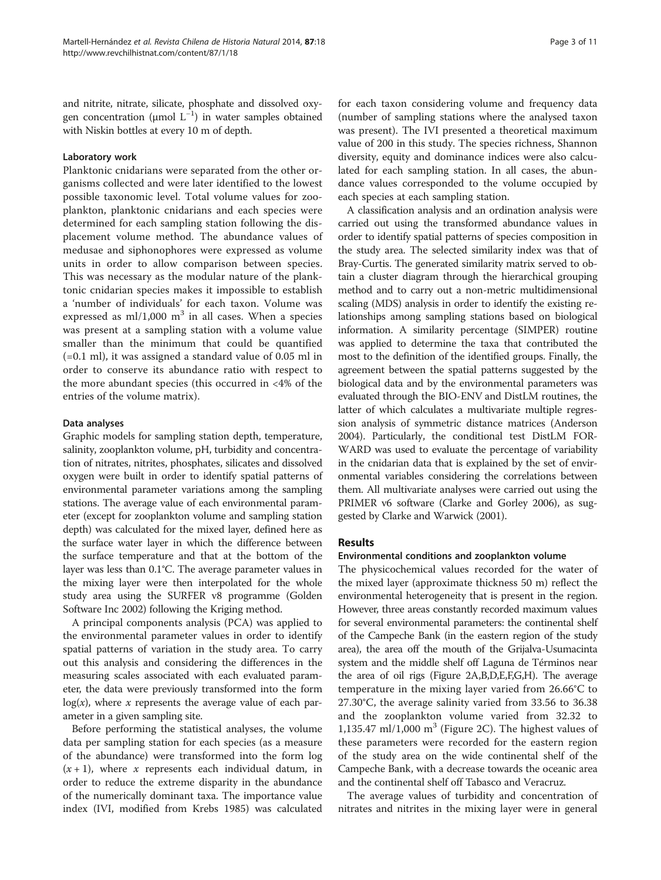and nitrite, nitrate, silicate, phosphate and dissolved oxygen concentration ( $\mu$ mol  $L^{-1}$ ) in water samples obtained with Niskin bottles at every 10 m of depth.

#### Laboratory work

Planktonic cnidarians were separated from the other organisms collected and were later identified to the lowest possible taxonomic level. Total volume values for zooplankton, planktonic cnidarians and each species were determined for each sampling station following the displacement volume method. The abundance values of medusae and siphonophores were expressed as volume units in order to allow comparison between species. This was necessary as the modular nature of the planktonic cnidarian species makes it impossible to establish a 'number of individuals' for each taxon. Volume was expressed as  $ml/1,000$  m<sup>3</sup> in all cases. When a species was present at a sampling station with a volume value smaller than the minimum that could be quantified (=0.1 ml), it was assigned a standard value of 0.05 ml in order to conserve its abundance ratio with respect to the more abundant species (this occurred in <4% of the entries of the volume matrix).

## Data analyses

Graphic models for sampling station depth, temperature, salinity, zooplankton volume, pH, turbidity and concentration of nitrates, nitrites, phosphates, silicates and dissolved oxygen were built in order to identify spatial patterns of environmental parameter variations among the sampling stations. The average value of each environmental parameter (except for zooplankton volume and sampling station depth) was calculated for the mixed layer, defined here as the surface water layer in which the difference between the surface temperature and that at the bottom of the layer was less than 0.1°C. The average parameter values in the mixing layer were then interpolated for the whole study area using the SURFER v8 programme (Golden Software Inc [2002\)](#page-9-0) following the Kriging method.

A principal components analysis (PCA) was applied to the environmental parameter values in order to identify spatial patterns of variation in the study area. To carry out this analysis and considering the differences in the measuring scales associated with each evaluated parameter, the data were previously transformed into the form  $log(x)$ , where x represents the average value of each parameter in a given sampling site.

Before performing the statistical analyses, the volume data per sampling station for each species (as a measure of the abundance) were transformed into the form log  $(x + 1)$ , where x represents each individual datum, in order to reduce the extreme disparity in the abundance of the numerically dominant taxa. The importance value index (IVI, modified from Krebs [1985\)](#page-10-0) was calculated

for each taxon considering volume and frequency data (number of sampling stations where the analysed taxon was present). The IVI presented a theoretical maximum value of 200 in this study. The species richness, Shannon diversity, equity and dominance indices were also calculated for each sampling station. In all cases, the abundance values corresponded to the volume occupied by each species at each sampling station.

A classification analysis and an ordination analysis were carried out using the transformed abundance values in order to identify spatial patterns of species composition in the study area. The selected similarity index was that of Bray-Curtis. The generated similarity matrix served to obtain a cluster diagram through the hierarchical grouping method and to carry out a non-metric multidimensional scaling (MDS) analysis in order to identify the existing relationships among sampling stations based on biological information. A similarity percentage (SIMPER) routine was applied to determine the taxa that contributed the most to the definition of the identified groups. Finally, the agreement between the spatial patterns suggested by the biological data and by the environmental parameters was evaluated through the BIO-ENV and DistLM routines, the latter of which calculates a multivariate multiple regression analysis of symmetric distance matrices (Anderson [2004\)](#page-9-0). Particularly, the conditional test DistLM FOR-WARD was used to evaluate the percentage of variability in the cnidarian data that is explained by the set of environmental variables considering the correlations between them. All multivariate analyses were carried out using the PRIMER v6 software (Clarke and Gorley [2006](#page-9-0)), as suggested by Clarke and Warwick [\(2001\)](#page-9-0).

# Results

## Environmental conditions and zooplankton volume

The physicochemical values recorded for the water of the mixed layer (approximate thickness 50 m) reflect the environmental heterogeneity that is present in the region. However, three areas constantly recorded maximum values for several environmental parameters: the continental shelf of the Campeche Bank (in the eastern region of the study area), the area off the mouth of the Grijalva-Usumacinta system and the middle shelf off Laguna de Términos near the area of oil rigs (Figure [2](#page-3-0)A,B,D,E,F,G,H). The average temperature in the mixing layer varied from 26.66°C to 27.30°C, the average salinity varied from 33.56 to 36.38 and the zooplankton volume varied from 32.32 to 1,135.47 ml/1,000 m<sup>3</sup> (Figure [2](#page-3-0)C). The highest values of these parameters were recorded for the eastern region of the study area on the wide continental shelf of the Campeche Bank, with a decrease towards the oceanic area and the continental shelf off Tabasco and Veracruz.

The average values of turbidity and concentration of nitrates and nitrites in the mixing layer were in general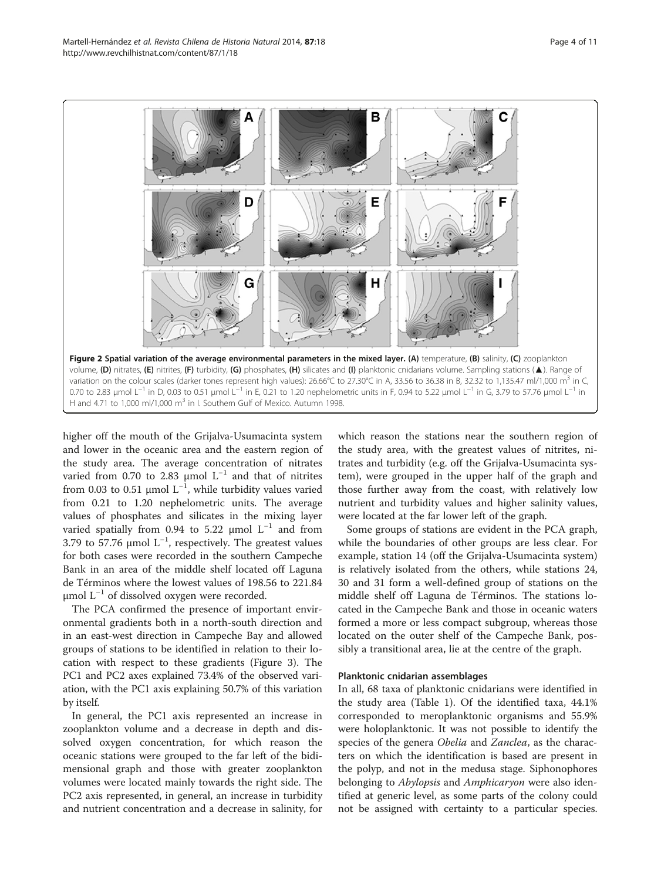<span id="page-3-0"></span>

higher off the mouth of the Grijalva-Usumacinta system and lower in the oceanic area and the eastern region of the study area. The average concentration of nitrates varied from 0.70 to 2.83 µmol  $L^{-1}$  and that of nitrites from 0.03 to 0.51 µmol  $L^{-1}$ , while turbidity values varied from 0.21 to 1.20 nephelometric units. The average values of phosphates and silicates in the mixing layer varied spatially from 0.94 to 5.22 µmol  $L^{-1}$  and from 3.79 to 57.76 µmol  $L^{-1}$ , respectively. The greatest values for both cases were recorded in the southern Campeche Bank in an area of the middle shelf located off Laguna de Términos where the lowest values of 198.56 to 221.84 μmol  $L^{-1}$  of dissolved oxygen were recorded.

The PCA confirmed the presence of important environmental gradients both in a north-south direction and in an east-west direction in Campeche Bay and allowed groups of stations to be identified in relation to their location with respect to these gradients (Figure [3](#page-4-0)). The PC1 and PC2 axes explained 73.4% of the observed variation, with the PC1 axis explaining 50.7% of this variation by itself.

In general, the PC1 axis represented an increase in zooplankton volume and a decrease in depth and dissolved oxygen concentration, for which reason the oceanic stations were grouped to the far left of the bidimensional graph and those with greater zooplankton volumes were located mainly towards the right side. The PC2 axis represented, in general, an increase in turbidity and nutrient concentration and a decrease in salinity, for

which reason the stations near the southern region of the study area, with the greatest values of nitrites, nitrates and turbidity (e.g. off the Grijalva-Usumacinta system), were grouped in the upper half of the graph and those further away from the coast, with relatively low nutrient and turbidity values and higher salinity values, were located at the far lower left of the graph.

Some groups of stations are evident in the PCA graph, while the boundaries of other groups are less clear. For example, station 14 (off the Grijalva-Usumacinta system) is relatively isolated from the others, while stations 24, 30 and 31 form a well-defined group of stations on the middle shelf off Laguna de Términos. The stations located in the Campeche Bank and those in oceanic waters formed a more or less compact subgroup, whereas those located on the outer shelf of the Campeche Bank, possibly a transitional area, lie at the centre of the graph.

## Planktonic cnidarian assemblages

In all, 68 taxa of planktonic cnidarians were identified in the study area (Table [1](#page-5-0)). Of the identified taxa, 44.1% corresponded to meroplanktonic organisms and 55.9% were holoplanktonic. It was not possible to identify the species of the genera Obelia and Zanclea, as the characters on which the identification is based are present in the polyp, and not in the medusa stage. Siphonophores belonging to *Abylopsis* and *Amphicaryon* were also identified at generic level, as some parts of the colony could not be assigned with certainty to a particular species.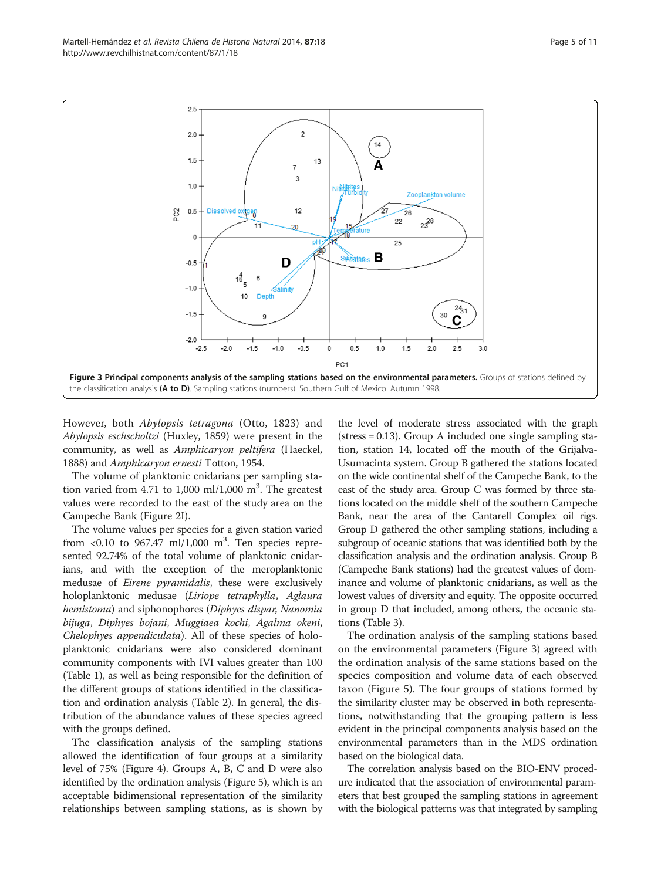However, both Abylopsis tetragona (Otto, 1823) and Abylopsis eschscholtzi (Huxley, 1859) were present in the community, as well as Amphicaryon peltifera (Haeckel, 1888) and Amphicaryon ernesti Totton, 1954.

The volume of planktonic cnidarians per sampling station varied from  $4.71$  to  $1,000$  ml/ $1,000$  m<sup>3</sup>. The greatest values were recorded to the east of the study area on the Campeche Bank (Figure [2](#page-3-0)I).

The volume values per species for a given station varied from <0.10 to  $967.47$  ml/1,000 m<sup>3</sup>. Ten species represented 92.74% of the total volume of planktonic cnidarians, and with the exception of the meroplanktonic medusae of *Eirene pyramidalis*, these were exclusively holoplanktonic medusae (Liriope tetraphylla, Aglaura hemistoma) and siphonophores (Diphyes dispar, Nanomia bijuga, Diphyes bojani, Muggiaea kochi, Agalma okeni, Chelophyes appendiculata). All of these species of holoplanktonic cnidarians were also considered dominant community components with IVI values greater than 100 (Table [1](#page-5-0)), as well as being responsible for the definition of the different groups of stations identified in the classification and ordination analysis (Table [2](#page-6-0)). In general, the distribution of the abundance values of these species agreed with the groups defined.

The classification analysis of the sampling stations allowed the identification of four groups at a similarity level of 75% (Figure [4\)](#page-7-0). Groups A, B, C and D were also identified by the ordination analysis (Figure [5\)](#page-7-0), which is an acceptable bidimensional representation of the similarity relationships between sampling stations, as is shown by

the level of moderate stress associated with the graph (stress = 0.13). Group A included one single sampling station, station 14, located off the mouth of the Grijalva-Usumacinta system. Group B gathered the stations located on the wide continental shelf of the Campeche Bank, to the east of the study area. Group C was formed by three stations located on the middle shelf of the southern Campeche Bank, near the area of the Cantarell Complex oil rigs. Group D gathered the other sampling stations, including a subgroup of oceanic stations that was identified both by the classification analysis and the ordination analysis. Group B (Campeche Bank stations) had the greatest values of dominance and volume of planktonic cnidarians, as well as the lowest values of diversity and equity. The opposite occurred in group D that included, among others, the oceanic stations (Table [3](#page-8-0)).

The ordination analysis of the sampling stations based on the environmental parameters (Figure 3) agreed with the ordination analysis of the same stations based on the species composition and volume data of each observed taxon (Figure [5\)](#page-7-0). The four groups of stations formed by the similarity cluster may be observed in both representations, notwithstanding that the grouping pattern is less evident in the principal components analysis based on the environmental parameters than in the MDS ordination based on the biological data.

The correlation analysis based on the BIO-ENV procedure indicated that the association of environmental parameters that best grouped the sampling stations in agreement with the biological patterns was that integrated by sampling

<span id="page-4-0"></span>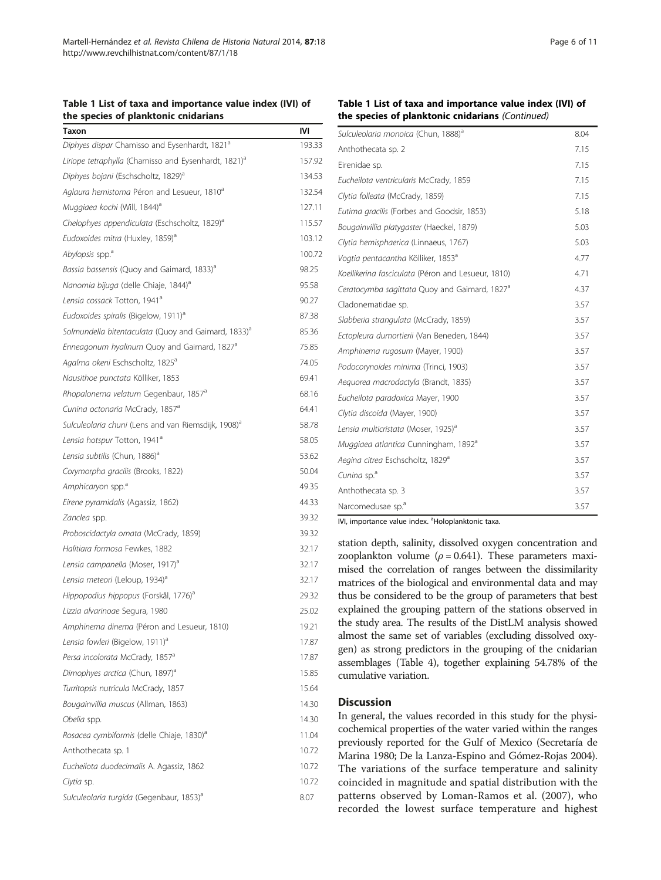#### <span id="page-5-0"></span>Table 1 List of taxa and importance value index (IVI) of the species of planktonic cnidarians

| Taxon                                                            | IVI    |
|------------------------------------------------------------------|--------|
| Diphyes dispar Chamisso and Eysenhardt, 1821 <sup>a</sup>        | 193.33 |
| Liriope tetraphylla (Chamisso and Eysenhardt, 1821) <sup>a</sup> | 157.92 |
| Diphyes bojani (Eschscholtz, 1829) <sup>a</sup>                  | 134.53 |
| Aglaura hemistoma Péron and Lesueur, 1810 <sup>d</sup>           | 132.54 |
| Muggiaea kochi (Will, 1844) <sup>a</sup>                         | 127.11 |
| Chelophyes appendiculata (Eschscholtz, 1829) <sup>a</sup>        | 115.57 |
| Eudoxoides mitra (Huxley, 1859) <sup>a</sup>                     | 103.12 |
| Abylopsis spp. <sup>a</sup>                                      | 100.72 |
| Bassia bassensis (Quoy and Gaimard, 1833) <sup>a</sup>           | 98.25  |
| Nanomia bijuga (delle Chiaje, 1844) <sup>a</sup>                 | 95.58  |
| Lensia cossack Totton, 1941 <sup>a</sup>                         | 90.27  |
| Eudoxoides spiralis (Bigelow, 1911) <sup>a</sup>                 | 87.38  |
| Solmundella bitentaculata (Quoy and Gaimard, 1833) <sup>a</sup>  | 85.36  |
| Enneagonum hyalinum Quoy and Gaimard, 1827 <sup>d</sup>          | 75.85  |
| Agalma okeni Eschscholtz, 1825 <sup>a</sup>                      | 74.05  |
| Nausithoe punctata Kölliker, 1853                                | 69.41  |
| Rhopalonema velatum Gegenbaur, 1857 <sup>a</sup>                 | 68.16  |
| Cunina octonaria McCrady, 1857 <sup>a</sup>                      | 64.41  |
| Sulculeolaria chuni (Lens and van Riemsdijk, 1908) <sup>a</sup>  | 58.78  |
| Lensia hotspur Totton, 1941 <sup>a</sup>                         | 58.05  |
| Lensia subtilis (Chun, 1886) <sup>a</sup>                        | 53.62  |
| Corymorpha gracilis (Brooks, 1822)                               | 50.04  |
| Amphicaryon spp. <sup>a</sup>                                    | 49.35  |
| Eirene pyramidalis (Agassiz, 1862)                               | 44.33  |
| Zanclea spp.                                                     | 39.32  |
| Proboscidactyla ornata (McCrady, 1859)                           | 39.32  |
| Halitiara formosa Fewkes, 1882                                   | 32.17  |
| Lensia campanella (Moser, 1917) <sup>a</sup>                     | 32.17  |
| Lensia meteori (Leloup, 1934) <sup>a</sup>                       | 32.17  |
| Hippopodius hippopus (Forskål, 1776) <sup>a</sup>                | 29.32  |
| Lizzia alvarinoae Segura, 1980                                   | 25.02  |
| Amphinema dinema (Péron and Lesueur, 1810)                       | 19.21  |
| Lensia fowleri (Bigelow, 1911) <sup>a</sup>                      | 17.87  |
| Persa incolorata McCrady, 1857 <sup>a</sup>                      | 17.87  |
| Dimophyes arctica (Chun, 1897) <sup>a</sup>                      | 15.85  |
| Turritopsis nutricula McCrady, 1857                              | 15.64  |
| Bougainvillia muscus (Allman, 1863)                              | 14.30  |
| Obelia spp.                                                      | 14.30  |
| Rosacea cymbiformis (delle Chiaje, 1830) <sup>a</sup>            | 11.04  |
| Anthothecata sp. 1                                               | 10.72  |
| Eucheilota duodecimalis A. Agassiz, 1862                         | 10.72  |
| Clytia sp.                                                       | 10.72  |
| Sulculeolaria turgida (Gegenbaur, 1853) <sup>a</sup>             | 8.07   |
|                                                                  |        |

## Table 1 List of taxa and importance value index (IVI) of the species of planktonic cnidarians (Continued)

| Sulculeolaria monoica (Chun, 1888) <sup>a</sup>           | 8.04 |
|-----------------------------------------------------------|------|
| Anthothecata sp. 2                                        | 7.15 |
| Eirenidae sp.                                             | 7.15 |
| Eucheilota ventricularis McCrady, 1859                    | 7.15 |
| Clytia folleata (McCrady, 1859)                           | 7.15 |
| Eutima gracilis (Forbes and Goodsir, 1853)                | 5.18 |
| Bougainvillia platygaster (Haeckel, 1879)                 | 5.03 |
| Clytia hemisphaerica (Linnaeus, 1767)                     | 5.03 |
| Vogtia pentacantha Kölliker, 1853 <sup>a</sup>            | 4.77 |
| Koellikerina fasciculata (Péron and Lesueur, 1810)        | 4.71 |
| Ceratocymba sagittata Quoy and Gaimard, 1827 <sup>a</sup> | 4.37 |
| Cladonematidae sp.                                        | 3.57 |
| Slabberia strangulata (McCrady, 1859)                     | 3.57 |
| Ectopleura dumortierii (Van Beneden, 1844)                | 3.57 |
| Amphinema rugosum (Mayer, 1900)                           | 3.57 |
| Podocorynoides minima (Trinci, 1903)                      | 3.57 |
| Aequorea macrodactyla (Brandt, 1835)                      | 3.57 |
| Eucheilota paradoxica Mayer, 1900                         | 3.57 |
| Clytia discoida (Mayer, 1900)                             | 3.57 |
| Lensia multicristata (Moser, 1925) <sup>a</sup>           | 3.57 |
| Muggiaea atlantica Cunningham, 1892 <sup>a</sup>          | 3.57 |
| Aegina citrea Eschscholtz, 1829 <sup>a</sup>              | 3.57 |
| Cunina sp. <sup>a</sup>                                   | 3.57 |
| Anthothecata sp. 3                                        | 3.57 |
| Narcomedusae sp. <sup>a</sup>                             | 3.57 |
|                                                           |      |

IVI, importance value index. <sup>a</sup> Holoplanktonic taxa.

station depth, salinity, dissolved oxygen concentration and zooplankton volume ( $\rho = 0.641$ ). These parameters maximised the correlation of ranges between the dissimilarity matrices of the biological and environmental data and may thus be considered to be the group of parameters that best explained the grouping pattern of the stations observed in the study area. The results of the DistLM analysis showed almost the same set of variables (excluding dissolved oxygen) as strong predictors in the grouping of the cnidarian assemblages (Table [4\)](#page-8-0), together explaining 54.78% of the cumulative variation.

# **Discussion**

In general, the values recorded in this study for the physicochemical properties of the water varied within the ranges previously reported for the Gulf of Mexico (Secretaría de Marina [1980](#page-10-0); De la Lanza-Espino and Gómez-Rojas [2004](#page-9-0)). The variations of the surface temperature and salinity coincided in magnitude and spatial distribution with the patterns observed by Loman-Ramos et al. [\(2007](#page-10-0)), who recorded the lowest surface temperature and highest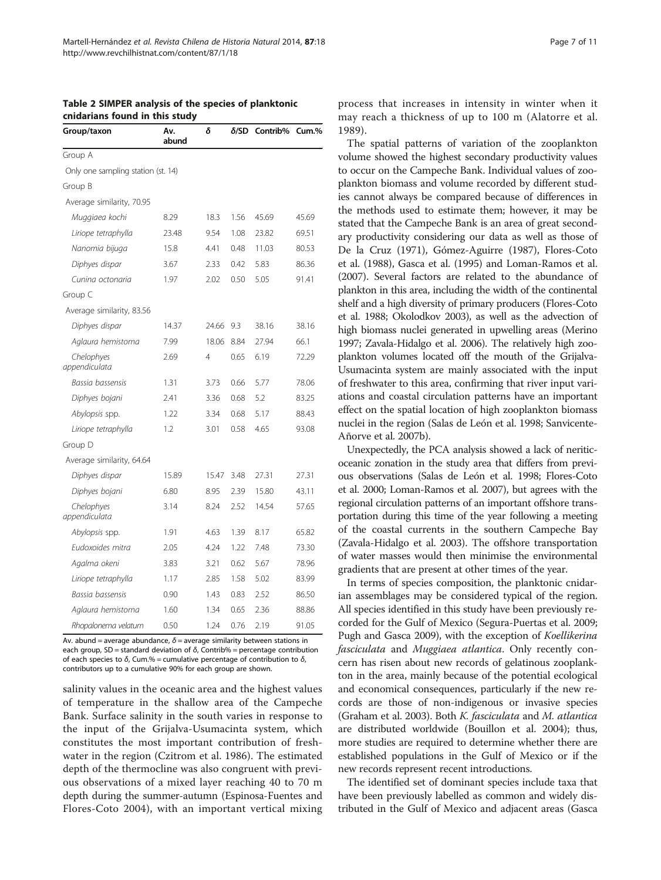| cnidarians found in this study<br>Group/taxon | Av.<br>abund | δ     | δ/SD | Contrib% | Cum.% |
|-----------------------------------------------|--------------|-------|------|----------|-------|
| Group A                                       |              |       |      |          |       |
| Only one sampling station (st. 14)            |              |       |      |          |       |
| Group B                                       |              |       |      |          |       |
| Average similarity, 70.95                     |              |       |      |          |       |
| Muggiaea kochi                                | 8.29         | 18.3  | 1.56 | 45.69    | 45.69 |
| Liriope tetraphylla                           | 23.48        | 9.54  | 1.08 | 23.82    | 69.51 |
| Nanomia bijuga                                | 15.8         | 4.41  | 0.48 | 11.03    | 80.53 |
| Diphyes dispar                                | 3.67         | 2.33  | 0.42 | 5.83     | 86.36 |
| Cunina octonaria                              | 1.97         | 2.02  | 0.50 | 5.05     | 91.41 |
| Group C                                       |              |       |      |          |       |
| Average similarity, 83.56                     |              |       |      |          |       |
|                                               | 14.37        | 24.66 | 9.3  | 38.16    | 38.16 |
| Diphyes dispar                                | 7.99         | 18.06 | 8.84 | 27.94    | 66.1  |
| Aglaura hemistoma<br>Chelophyes               | 2.69         | 4     | 0.65 | 6.19     | 72.29 |
| appendiculata                                 |              |       |      |          |       |
| Bassia bassensis                              | 1.31         | 3.73  | 0.66 | 5.77     | 78.06 |
| Diphyes bojani                                | 2.41         | 3.36  | 0.68 | 5.2      | 83.25 |
| Abylopsis spp.                                | 1.22         | 3.34  | 0.68 | 5.17     | 88.43 |
| Liriope tetraphylla                           | 1.2          | 3.01  | 0.58 | 4.65     | 93.08 |
| Group D                                       |              |       |      |          |       |
| Average similarity, 64.64                     |              |       |      |          |       |
| Diphyes dispar                                | 15.89        | 15.47 | 3.48 | 27.31    | 27.31 |
| Diphyes bojani                                | 6.80         | 8.95  | 2.39 | 15.80    | 43.11 |
| Chelophyes<br>appendiculata                   | 3.14         | 8.24  | 2.52 | 14.54    | 57.65 |
| Abylopsis spp.                                | 1.91         | 4.63  | 1.39 | 8.17     | 65.82 |
| Eudoxoides mitra                              | 2.05         | 4.24  | 1.22 | 7.48     | 73.30 |
| Agalma okeni                                  | 3.83         | 3.21  | 0.62 | 5.67     | 78.96 |
| Liriope tetraphylla                           | 1.17         | 2.85  | 1.58 | 5.02     | 83.99 |
| Bassia bassensis                              | 0.90         | 1.43  | 0.83 | 2.52     | 86.50 |
| Aglaura hemistoma                             | 1.60         | 1.34  | 0.65 | 2.36     | 88.86 |
| Rhopalonema velatum                           | 0.50         | 1.24  | 0.76 | 2.19     | 91.05 |

<span id="page-6-0"></span>

| Table 2 SIMPER analysis of the species of planktonic |  |
|------------------------------------------------------|--|
| cnidarians found in this study                       |  |

Av. abund = average abundance,  $\delta$  = average similarity between stations in each group, SD = standard deviation of  $\delta$ , Contrib% = percentage contribution of each species to  $\delta$ , Cum.% = cumulative percentage of contribution to  $\delta$ , contributors up to a cumulative 90% for each group are shown.

salinity values in the oceanic area and the highest values of temperature in the shallow area of the Campeche Bank. Surface salinity in the south varies in response to the input of the Grijalva-Usumacinta system, which constitutes the most important contribution of freshwater in the region (Czitrom et al. [1986\)](#page-9-0). The estimated depth of the thermocline was also congruent with previous observations of a mixed layer reaching 40 to 70 m depth during the summer-autumn (Espinosa-Fuentes and Flores-Coto [2004\)](#page-9-0), with an important vertical mixing process that increases in intensity in winter when it may reach a thickness of up to 100 m (Alatorre et al. [1989](#page-9-0)).

The spatial patterns of variation of the zooplankton volume showed the highest secondary productivity values to occur on the Campeche Bank. Individual values of zooplankton biomass and volume recorded by different studies cannot always be compared because of differences in the methods used to estimate them; however, it may be stated that the Campeche Bank is an area of great secondary productivity considering our data as well as those of De la Cruz ([1971](#page-9-0)), Gómez-Aguirre ([1987\)](#page-10-0), Flores-Coto et al. [\(1988](#page-9-0)), Gasca et al. [\(1995\)](#page-9-0) and Loman-Ramos et al. ([2007](#page-10-0)). Several factors are related to the abundance of plankton in this area, including the width of the continental shelf and a high diversity of primary producers (Flores-Coto et al. [1988;](#page-9-0) Okolodkov [2003\)](#page-10-0), as well as the advection of high biomass nuclei generated in upwelling areas (Merino [1997;](#page-10-0) Zavala-Hidalgo et al. [2006](#page-10-0)). The relatively high zooplankton volumes located off the mouth of the Grijalva-Usumacinta system are mainly associated with the input of freshwater to this area, confirming that river input variations and coastal circulation patterns have an important effect on the spatial location of high zooplankton biomass nuclei in the region (Salas de León et al. [1998](#page-10-0); Sanvicente-Añorve et al. [2007b](#page-10-0)).

Unexpectedly, the PCA analysis showed a lack of neriticoceanic zonation in the study area that differs from previous observations (Salas de León et al. [1998;](#page-10-0) Flores-Coto et al. [2000;](#page-9-0) Loman-Ramos et al. [2007](#page-10-0)), but agrees with the regional circulation patterns of an important offshore transportation during this time of the year following a meeting of the coastal currents in the southern Campeche Bay (Zavala-Hidalgo et al. [2003](#page-10-0)). The offshore transportation of water masses would then minimise the environmental gradients that are present at other times of the year.

In terms of species composition, the planktonic cnidarian assemblages may be considered typical of the region. All species identified in this study have been previously recorded for the Gulf of Mexico (Segura-Puertas et al. [2009](#page-10-0); Pugh and Gasca [2009\)](#page-10-0), with the exception of Koellikerina fasciculata and Muggiaea atlantica. Only recently concern has risen about new records of gelatinous zooplankton in the area, mainly because of the potential ecological and economical consequences, particularly if the new records are those of non-indigenous or invasive species (Graham et al. [2003](#page-10-0)). Both K. fasciculata and M. atlantica are distributed worldwide (Bouillon et al. [2004](#page-9-0)); thus, more studies are required to determine whether there are established populations in the Gulf of Mexico or if the new records represent recent introductions.

The identified set of dominant species include taxa that have been previously labelled as common and widely distributed in the Gulf of Mexico and adjacent areas (Gasca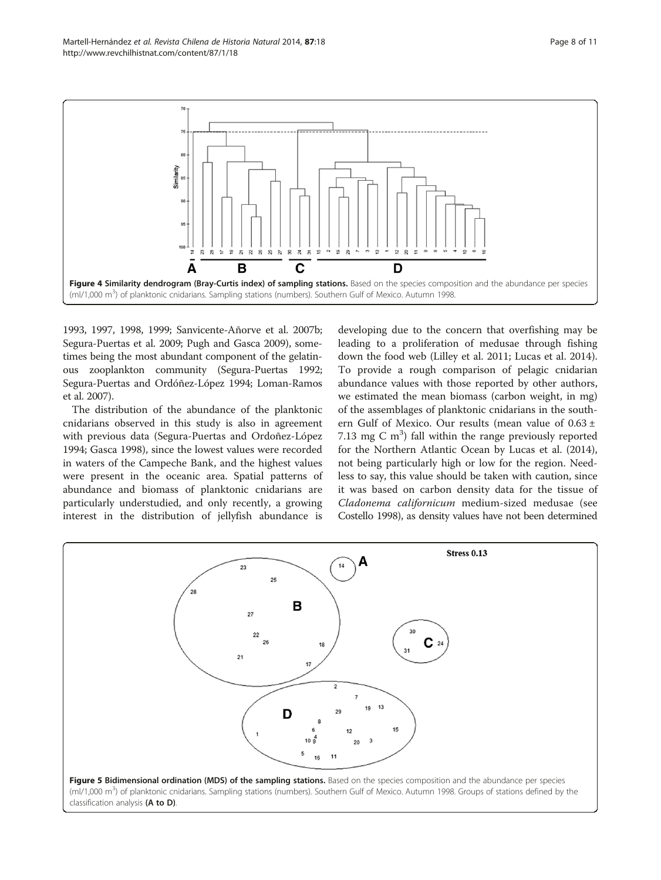<span id="page-7-0"></span>

[1993, 1997, 1998](#page-9-0), [1999;](#page-9-0) Sanvicente-Añorve et al. [2007b](#page-10-0); Segura-Puertas et al. [2009;](#page-10-0) Pugh and Gasca [2009](#page-10-0)), sometimes being the most abundant component of the gelatinous zooplankton community (Segura-Puertas [1992](#page-10-0); Segura-Puertas and Ordóñez-López 1994; Loman-Ramos et al. [2007](#page-10-0)).

The distribution of the abundance of the planktonic cnidarians observed in this study is also in agreement with previous data (Segura-Puertas and Ordoñez-López [1994](#page-10-0); Gasca [1998](#page-9-0)), since the lowest values were recorded in waters of the Campeche Bank, and the highest values were present in the oceanic area. Spatial patterns of abundance and biomass of planktonic cnidarians are particularly understudied, and only recently, a growing interest in the distribution of jellyfish abundance is

developing due to the concern that overfishing may be leading to a proliferation of medusae through fishing down the food web (Lilley et al. [2011;](#page-10-0) Lucas et al. [2014](#page-10-0)). To provide a rough comparison of pelagic cnidarian abundance values with those reported by other authors, we estimated the mean biomass (carbon weight, in mg) of the assemblages of planktonic cnidarians in the southern Gulf of Mexico. Our results (mean value of 0.63 ± 7.13 mg  $C$  m<sup>3</sup>) fall within the range previously reported for the Northern Atlantic Ocean by Lucas et al. ([2014](#page-10-0)), not being particularly high or low for the region. Needless to say, this value should be taken with caution, since it was based on carbon density data for the tissue of Cladonema californicum medium-sized medusae (see Costello [1998](#page-9-0)), as density values have not been determined

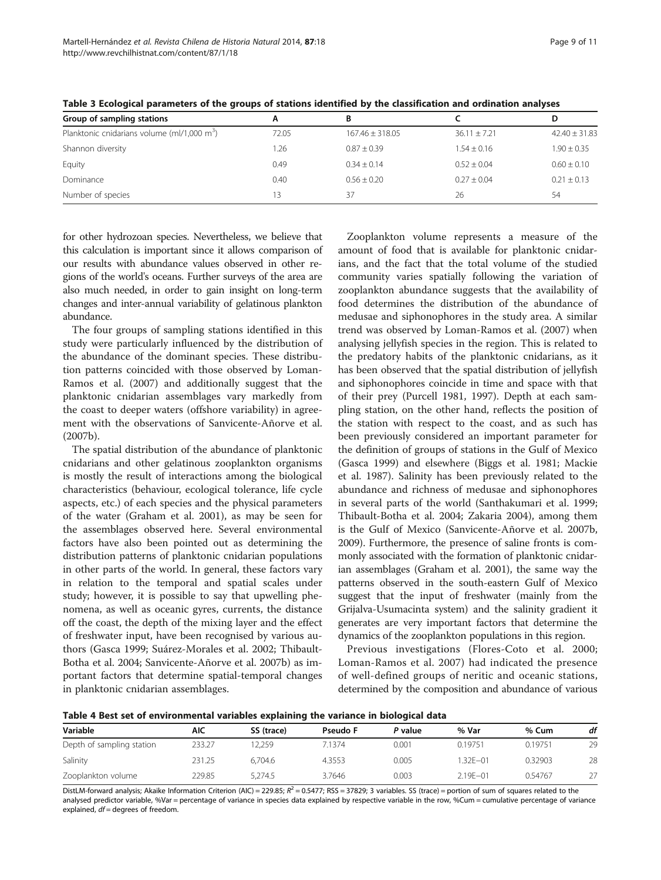| Group of sampling stations                              | A     | В                   |                | D                 |
|---------------------------------------------------------|-------|---------------------|----------------|-------------------|
| Planktonic cnidarians volume (ml/1,000 m <sup>3</sup> ) | 72.05 | $167.46 \pm 318.05$ | $36.11 + 7.21$ | $42.40 \pm 31.83$ |
| Shannon diversity                                       | 1.26  | $0.87 + 0.39$       | $1.54 + 0.16$  | $1.90 + 0.35$     |
| Equity                                                  | 0.49  | $0.34 + 0.14$       | $0.52 + 0.04$  | $0.60 + 0.10$     |
| Dominance                                               | 0.40  | $0.56 \pm 0.20$     | $0.27 + 0.04$  | $0.21 + 0.13$     |
| Number of species                                       | 13    | 37                  | 26             | 54                |

<span id="page-8-0"></span>Table 3 Ecological parameters of the groups of stations identified by the classification and ordination analyses

for other hydrozoan species. Nevertheless, we believe that this calculation is important since it allows comparison of our results with abundance values observed in other regions of the world's oceans. Further surveys of the area are also much needed, in order to gain insight on long-term changes and inter-annual variability of gelatinous plankton abundance.

The four groups of sampling stations identified in this study were particularly influenced by the distribution of the abundance of the dominant species. These distribution patterns coincided with those observed by Loman-Ramos et al. ([2007\)](#page-10-0) and additionally suggest that the planktonic cnidarian assemblages vary markedly from the coast to deeper waters (offshore variability) in agreement with the observations of Sanvicente-Añorve et al. ([2007b\)](#page-10-0).

The spatial distribution of the abundance of planktonic cnidarians and other gelatinous zooplankton organisms is mostly the result of interactions among the biological characteristics (behaviour, ecological tolerance, life cycle aspects, etc.) of each species and the physical parameters of the water (Graham et al. [2001\)](#page-10-0), as may be seen for the assemblages observed here. Several environmental factors have also been pointed out as determining the distribution patterns of planktonic cnidarian populations in other parts of the world. In general, these factors vary in relation to the temporal and spatial scales under study; however, it is possible to say that upwelling phenomena, as well as oceanic gyres, currents, the distance off the coast, the depth of the mixing layer and the effect of freshwater input, have been recognised by various authors (Gasca [1999](#page-9-0); Suárez-Morales et al. [2002;](#page-10-0) Thibault-Botha et al. [2004;](#page-10-0) Sanvicente-Añorve et al. [2007b\)](#page-10-0) as important factors that determine spatial-temporal changes in planktonic cnidarian assemblages.

Zooplankton volume represents a measure of the amount of food that is available for planktonic cnidarians, and the fact that the total volume of the studied community varies spatially following the variation of zooplankton abundance suggests that the availability of food determines the distribution of the abundance of medusae and siphonophores in the study area. A similar trend was observed by Loman-Ramos et al. ([2007](#page-10-0)) when analysing jellyfish species in the region. This is related to the predatory habits of the planktonic cnidarians, as it has been observed that the spatial distribution of jellyfish and siphonophores coincide in time and space with that of their prey (Purcell [1981](#page-10-0), [1997](#page-10-0)). Depth at each sampling station, on the other hand, reflects the position of the station with respect to the coast, and as such has been previously considered an important parameter for the definition of groups of stations in the Gulf of Mexico (Gasca [1999](#page-9-0)) and elsewhere (Biggs et al. [1981](#page-9-0); Mackie et al. [1987\)](#page-10-0). Salinity has been previously related to the abundance and richness of medusae and siphonophores in several parts of the world (Santhakumari et al. [1999](#page-10-0); Thibault-Botha et al. [2004](#page-10-0); Zakaria [2004](#page-10-0)), among them is the Gulf of Mexico (Sanvicente-Añorve et al. [2007b](#page-10-0), [2009\)](#page-10-0). Furthermore, the presence of saline fronts is commonly associated with the formation of planktonic cnidarian assemblages (Graham et al. [2001](#page-10-0)), the same way the patterns observed in the south-eastern Gulf of Mexico suggest that the input of freshwater (mainly from the Grijalva-Usumacinta system) and the salinity gradient it generates are very important factors that determine the dynamics of the zooplankton populations in this region.

Previous investigations (Flores-Coto et al. [2000](#page-9-0); Loman-Ramos et al. [2007\)](#page-10-0) had indicated the presence of well-defined groups of neritic and oceanic stations, determined by the composition and abundance of various

Table 4 Best set of environmental variables explaining the variance in biological data

|                           |        |            | -        | -       |              |         |    |
|---------------------------|--------|------------|----------|---------|--------------|---------|----|
| Variable                  | AIC    | SS (trace) | Pseudo F | P value | % Var        | % Cum   | df |
| Depth of sampling station | 233.27 | 2.259      | .1374    | 0.001   | 0.19751      | 0.19751 | 29 |
| Salinity                  | 231.25 | 6.704.6    | 4.3553   | 0.005   | $.32F - 01$  | 0.32903 | 28 |
| Zooplankton volume        | 229.85 | 5.274.5    | 3.7646   | 0.003   | $2.19F - 01$ | 0.54767 | 27 |

DistLM-forward analysis; Akaike Information Criterion (AIC) = 229.85;  $R^2 = 0.5477$ ; RSS = 37829; 3 variables. SS (trace) = portion of sum of squares related to the analysed predictor variable, %Var = percentage of variance in species data explained by respective variable in the row, %Cum = cumulative percentage of variance explained,  $df =$  degrees of freedom.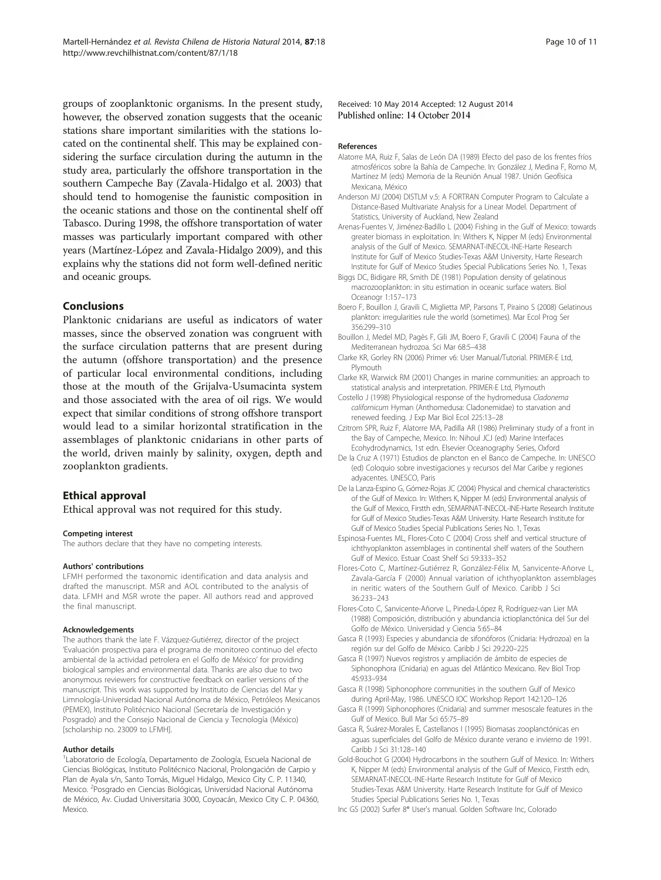<span id="page-9-0"></span>groups of zooplanktonic organisms. In the present study, however, the observed zonation suggests that the oceanic stations share important similarities with the stations located on the continental shelf. This may be explained considering the surface circulation during the autumn in the study area, particularly the offshore transportation in the southern Campeche Bay (Zavala-Hidalgo et al. [2003](#page-10-0)) that should tend to homogenise the faunistic composition in the oceanic stations and those on the continental shelf off Tabasco. During 1998, the offshore transportation of water masses was particularly important compared with other years (Martínez-López and Zavala-Hidalgo [2009](#page-10-0)), and this explains why the stations did not form well-defined neritic and oceanic groups.

# Conclusions

Planktonic cnidarians are useful as indicators of water masses, since the observed zonation was congruent with the surface circulation patterns that are present during the autumn (offshore transportation) and the presence of particular local environmental conditions, including those at the mouth of the Grijalva-Usumacinta system and those associated with the area of oil rigs. We would expect that similar conditions of strong offshore transport would lead to a similar horizontal stratification in the assemblages of planktonic cnidarians in other parts of the world, driven mainly by salinity, oxygen, depth and zooplankton gradients.

# Ethical approval

Ethical approval was not required for this study.

#### Competing interest

The authors declare that they have no competing interests.

#### Authors' contributions

LFMH performed the taxonomic identification and data analysis and drafted the manuscript. MSR and AOL contributed to the analysis of data. LFMH and MSR wrote the paper. All authors read and approved the final manuscript.

#### Acknowledgements

The authors thank the late F. Vázquez-Gutiérrez, director of the project 'Evaluación prospectiva para el programa de monitoreo continuo del efecto ambiental de la actividad petrolera en el Golfo de México' for providing biological samples and environmental data. Thanks are also due to two anonymous reviewers for constructive feedback on earlier versions of the manuscript. This work was supported by Instituto de Ciencias del Mar y Limnología-Universidad Nacional Autónoma de México, Petróleos Mexicanos (PEMEX), Instituto Politécnico Nacional (Secretaría de Investigación y Posgrado) and the Consejo Nacional de Ciencia y Tecnología (México) [scholarship no. 23009 to LFMH].

#### Author details

<sup>1</sup> Laboratorio de Ecología, Departamento de Zoología, Escuela Nacional de Ciencias Biológicas, Instituto Politécnico Nacional, Prolongación de Carpio y Plan de Ayala s/n, Santo Tomás, Miguel Hidalgo, Mexico City C. P. 11340, Mexico. <sup>2</sup>Posgrado en Ciencias Biológicas, Universidad Nacional Autónoma de México, Av. Ciudad Universitaria 3000, Coyoacán, Mexico City C. P. 04360, Mexico.

Received: 10 May 2014 Accepted: 12 August 2014 Published online: 14 October 2014

#### References

- Alatorre MA, Ruiz F, Salas de León DA (1989) Efecto del paso de los frentes fríos atmosféricos sobre la Bahía de Campeche. In: González J, Medina F, Romo M, Martínez M (eds) Memoria de la Reunión Anual 1987. Unión Geofísica Mexicana, México
- Anderson MJ (2004) DISTLM v.5: A FORTRAN Computer Program to Calculate a Distance-Based Multivariate Analysis for a Linear Model. Department of Statistics, University of Auckland, New Zealand
- Arenas-Fuentes V, Jiménez-Badillo L (2004) Fishing in the Gulf of Mexico: towards greater biomass in exploitation. In: Withers K, Nipper M (eds) Environmental analysis of the Gulf of Mexico. SEMARNAT-INECOL-INE-Harte Research Institute for Gulf of Mexico Studies-Texas A&M University, Harte Research Institute for Gulf of Mexico Studies Special Publications Series No. 1, Texas
- Biggs DC, Bidigare RR, Smith DE (1981) Population density of gelatinous macrozooplankton: in situ estimation in oceanic surface waters. Biol Oceanogr 1:157–173
- Boero F, Bouillon J, Gravili C, Miglietta MP, Parsons T, Piraino S (2008) Gelatinous plankton: irregularities rule the world (sometimes). Mar Ecol Prog Ser 356:299–310
- Bouillon J, Medel MD, Pagès F, Gili JM, Boero F, Gravili C (2004) Fauna of the Mediterranean hydrozoa. Sci Mar 68:5–438
- Clarke KR, Gorley RN (2006) Primer v6: User Manual/Tutorial. PRIMER-E Ltd, Plymouth
- Clarke KR, Warwick RM (2001) Changes in marine communities: an approach to statistical analysis and interpretation. PRIMER-E Ltd, Plymouth
- Costello J (1998) Physiological response of the hydromedusa Cladonema californicum Hyman (Anthomedusa: Cladonemidae) to starvation and renewed feeding. J Exp Mar Biol Ecol 225:13–28
- Czitrom SPR, Ruiz F, Alatorre MA, Padilla AR (1986) Preliminary study of a front in the Bay of Campeche, Mexico. In: Nihoul JCJ (ed) Marine Interfaces Ecohydrodynamics, 1st edn. Elsevier Oceanography Series, Oxford
- De la Cruz A (1971) Estudios de plancton en el Banco de Campeche. In: UNESCO (ed) Coloquio sobre investigaciones y recursos del Mar Caribe y regiones adyacentes. UNESCO, Paris
- De la Lanza-Espino G, Gómez-Rojas JC (2004) Physical and chemical characteristics of the Gulf of Mexico. In: Withers K, Nipper M (eds) Environmental analysis of the Gulf of Mexico, Firstth edn, SEMARNAT-INECOL-INE-Harte Research Institute for Gulf of Mexico Studies-Texas A&M University. Harte Research Institute for Gulf of Mexico Studies Special Publications Series No. 1, Texas
- Espinosa-Fuentes ML, Flores-Coto C (2004) Cross shelf and vertical structure of ichthyoplankton assemblages in continental shelf waters of the Southern Gulf of Mexico. Estuar Coast Shelf Sci 59:333–352
- Flores-Coto C, Martínez-Gutiérrez R, González-Félix M, Sanvicente-Añorve L, Zavala-García F (2000) Annual variation of ichthyoplankton assemblages in neritic waters of the Southern Gulf of Mexico. Caribb J Sci 36:233–243
- Flores-Coto C, Sanvicente-Añorve L, Pineda-López R, Rodríguez-van Lier MA (1988) Composición, distribución y abundancia ictioplanctónica del Sur del Golfo de México. Universidad y Ciencia 5:65–84
- Gasca R (1993) Especies y abundancia de sifonóforos (Cnidaria: Hydrozoa) en la región sur del Golfo de México. Caribb J Sci 29:220–225
- Gasca R (1997) Nuevos registros y ampliación de ámbito de especies de Siphonophora (Cnidaria) en aguas del Atlántico Mexicano. Rev Biol Trop 45:933–934
- Gasca R (1998) Siphonophore communities in the southern Gulf of Mexico during April-May, 1986. UNESCO IOC Workshop Report 142:120–126
- Gasca R (1999) Siphonophores (Cnidaria) and summer mesoscale features in the Gulf of Mexico. Bull Mar Sci 65:75–89
- Gasca R, Suárez-Morales E, Castellanos I (1995) Biomasas zooplanctónicas en aguas superficiales del Golfo de México durante verano e invierno de 1991. Caribb J Sci 31:128–140
- Gold-Bouchot G (2004) Hydrocarbons in the southern Gulf of Mexico. In: Withers K, Nipper M (eds) Environmental analysis of the Gulf of Mexico, Firstth edn, SEMARNAT-INECOL-INE-Harte Research Institute for Gulf of Mexico Studies-Texas A&M University. Harte Research Institute for Gulf of Mexico Studies Special Publications Series No. 1, Texas
- Inc GS (2002) Surfer 8® User's manual. Golden Software Inc, Colorado